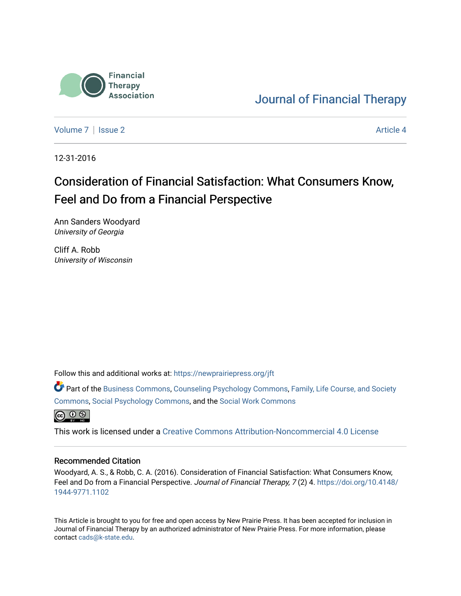

# [Journal of Financial Therapy](https://newprairiepress.org/jft)

[Volume 7](https://newprairiepress.org/jft/vol7) | [Issue 2](https://newprairiepress.org/jft/vol7/iss2) Article 4

12-31-2016

# Consideration of Financial Satisfaction: What Consumers Know, Feel and Do from a Financial Perspective

Ann Sanders Woodyard University of Georgia

Cliff A. Robb University of Wisconsin

Follow this and additional works at: [https://newprairiepress.org/jft](https://newprairiepress.org/jft?utm_source=newprairiepress.org%2Fjft%2Fvol7%2Fiss2%2F4&utm_medium=PDF&utm_campaign=PDFCoverPages)

Part of the [Business Commons](http://network.bepress.com/hgg/discipline/622?utm_source=newprairiepress.org%2Fjft%2Fvol7%2Fiss2%2F4&utm_medium=PDF&utm_campaign=PDFCoverPages), [Counseling Psychology Commons,](http://network.bepress.com/hgg/discipline/1044?utm_source=newprairiepress.org%2Fjft%2Fvol7%2Fiss2%2F4&utm_medium=PDF&utm_campaign=PDFCoverPages) [Family, Life Course, and Society](http://network.bepress.com/hgg/discipline/419?utm_source=newprairiepress.org%2Fjft%2Fvol7%2Fiss2%2F4&utm_medium=PDF&utm_campaign=PDFCoverPages)  [Commons](http://network.bepress.com/hgg/discipline/419?utm_source=newprairiepress.org%2Fjft%2Fvol7%2Fiss2%2F4&utm_medium=PDF&utm_campaign=PDFCoverPages), [Social Psychology Commons,](http://network.bepress.com/hgg/discipline/414?utm_source=newprairiepress.org%2Fjft%2Fvol7%2Fiss2%2F4&utm_medium=PDF&utm_campaign=PDFCoverPages) and the [Social Work Commons](http://network.bepress.com/hgg/discipline/713?utm_source=newprairiepress.org%2Fjft%2Fvol7%2Fiss2%2F4&utm_medium=PDF&utm_campaign=PDFCoverPages) 



This work is licensed under a [Creative Commons Attribution-Noncommercial 4.0 License](https://creativecommons.org/licenses/by-nc/4.0/)

#### Recommended Citation

Woodyard, A. S., & Robb, C. A. (2016). Consideration of Financial Satisfaction: What Consumers Know, Feel and Do from a Financial Perspective. Journal of Financial Therapy, 7(2) 4. [https://doi.org/10.4148/](https://doi.org/10.4148/1944-9771.1102) [1944-9771.1102](https://doi.org/10.4148/1944-9771.1102) 

This Article is brought to you for free and open access by New Prairie Press. It has been accepted for inclusion in Journal of Financial Therapy by an authorized administrator of New Prairie Press. For more information, please contact [cads@k-state.edu](mailto:cads@k-state.edu).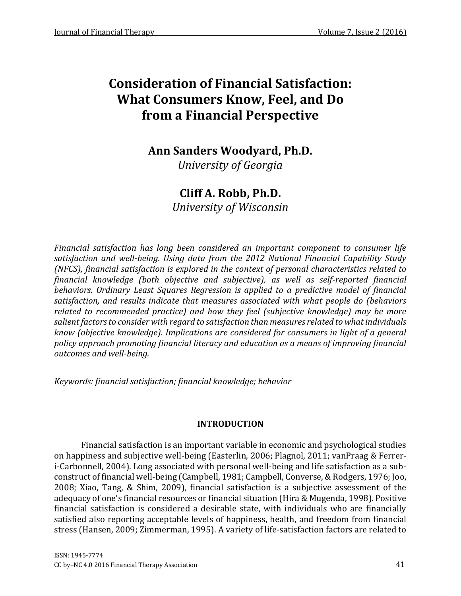## **Ann Sanders Woodyard, Ph.D.**

*University of Georgia*

## **Cliff A. Robb, Ph.D.**

*University of Wisconsin*

*Financial satisfaction has long been considered an important component to consumer life satisfaction and well-being. Using data from the 2012 National Financial Capability Study (NFCS), financial satisfaction is explored in the context of personal characteristics related to financial knowledge (both objective and subjective), as well as self-reported financial behaviors. Ordinary Least Squares Regression is applied to a predictive model of financial satisfaction, and results indicate that measures associated with what people do (behaviors related to recommended practice) and how they feel (subjective knowledge) may be more salient factors to consider with regard to satisfaction than measures related to what individuals know (objective knowledge). Implications are considered for consumers in light of a general policy approach promoting financial literacy and education as a means of improving financial outcomes and well-being.*

*Keywords: financial satisfaction; financial knowledge; behavior*

## **INTRODUCTION**

Financial satisfaction is an important variable in economic and psychological studies on happiness and subjective well-being (Easterlin, 2006; Plagnol, 2011; vanPraag & Ferreri-Carbonnell, 2004). Long associated with personal well-being and life satisfaction as a subconstruct of financial well-being (Campbell, 1981; Campbell, Converse, & Rodgers, 1976; Joo, 2008; Xiao, Tang, & Shim, 2009), financial satisfaction is a subjective assessment of the adequacy of one's financial resources or financial situation (Hira & Mugenda, 1998). Positive financial satisfaction is considered a desirable state, with individuals who are financially satisfied also reporting acceptable levels of happiness, health, and freedom from financial stress (Hansen, 2009; Zimmerman, 1995). A variety of life-satisfaction factors are related to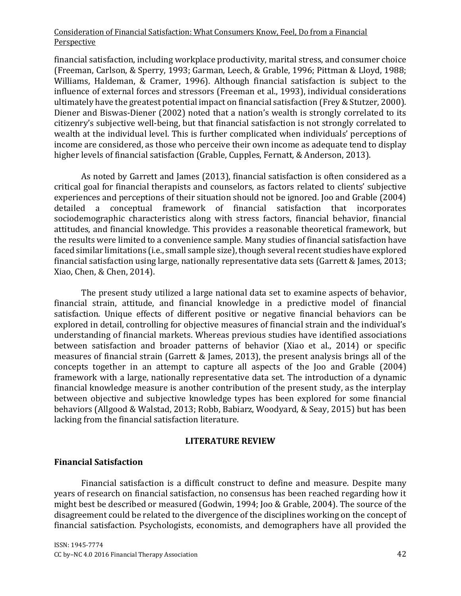financial satisfaction, including workplace productivity, marital stress, and consumer choice (Freeman, Carlson, & Sperry, 1993; Garman, Leech, & Grable, 1996; Pittman & Lloyd, 1988; Williams, Haldeman, & Cramer, 1996). Although financial satisfaction is subject to the influence of external forces and stressors (Freeman et al., 1993), individual considerations ultimately have the greatest potential impact on financial satisfaction (Frey & Stutzer, 2000). Diener and Biswas-Diener (2002) noted that a nation's wealth is strongly correlated to its citizenry's subjective well-being, but that financial satisfaction is not strongly correlated to wealth at the individual level. This is further complicated when individuals' perceptions of income are considered, as those who perceive their own income as adequate tend to display higher levels of financial satisfaction (Grable, Cupples, Fernatt, & Anderson, 2013).

As noted by Garrett and James (2013), financial satisfaction is often considered as a critical goal for financial therapists and counselors, as factors related to clients' subjective experiences and perceptions of their situation should not be ignored. Joo and Grable (2004) detailed a conceptual framework of financial satisfaction that incorporates sociodemographic characteristics along with stress factors, financial behavior, financial attitudes, and financial knowledge. This provides a reasonable theoretical framework, but the results were limited to a convenience sample. Many studies of financial satisfaction have faced similar limitations (i.e., small sample size), though several recent studies have explored financial satisfaction using large, nationally representative data sets (Garrett & James, 2013; Xiao, Chen, & Chen, 2014).

The present study utilized a large national data set to examine aspects of behavior, financial strain, attitude, and financial knowledge in a predictive model of financial satisfaction. Unique effects of different positive or negative financial behaviors can be explored in detail, controlling for objective measures of financial strain and the individual's understanding of financial markets. Whereas previous studies have identified associations between satisfaction and broader patterns of behavior (Xiao et al., 2014) or specific measures of financial strain (Garrett & James, 2013), the present analysis brings all of the concepts together in an attempt to capture all aspects of the Joo and Grable (2004) framework with a large, nationally representative data set. The introduction of a dynamic financial knowledge measure is another contribution of the present study, as the interplay between objective and subjective knowledge types has been explored for some financial behaviors (Allgood & Walstad, 2013; Robb, Babiarz, Woodyard, & Seay, 2015) but has been lacking from the financial satisfaction literature.

## **LITERATURE REVIEW**

## **Financial Satisfaction**

Financial satisfaction is a difficult construct to define and measure. Despite many years of research on financial satisfaction, no consensus has been reached regarding how it might best be described or measured (Godwin, 1994; Joo & Grable, 2004). The source of the disagreement could be related to the divergence of the disciplines working on the concept of financial satisfaction. Psychologists, economists, and demographers have all provided the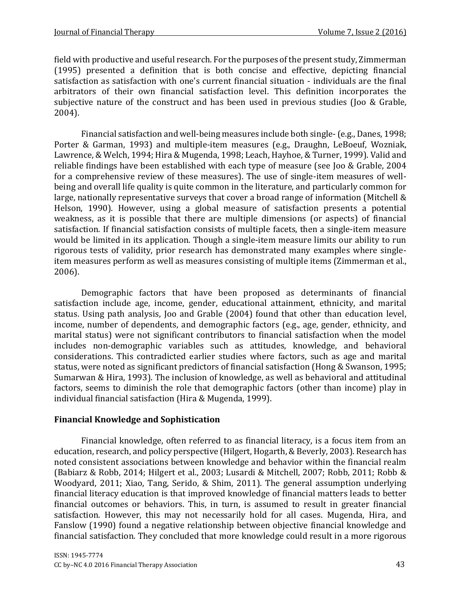field with productive and useful research. For the purposes of the present study, Zimmerman (1995) presented a definition that is both concise and effective, depicting financial satisfaction as satisfaction with one's current financial situation - individuals are the final arbitrators of their own financial satisfaction level. This definition incorporates the subjective nature of the construct and has been used in previous studies (Joo & Grable, 2004).

Financial satisfaction and well-being measures include both single-(e.g., Danes, 1998; Porter & Garman, 1993) and multiple-item measures (e.g., Draughn, LeBoeuf, Wozniak, Lawrence, & Welch, 1994; Hira & Mugenda, 1998; Leach, Hayhoe, & Turner, 1999). Valid and reliable findings have been established with each type of measure (see Joo & Grable, 2004 for a comprehensive review of these measures). The use of single-item measures of wellbeing and overall life quality is quite common in the literature, and particularly common for large, nationally representative surveys that cover a broad range of information (Mitchell & Helson, 1990). However, using a global measure of satisfaction presents a potential weakness, as it is possible that there are multiple dimensions (or aspects) of financial satisfaction. If financial satisfaction consists of multiple facets, then a single-item measure would be limited in its application. Though a single-item measure limits our ability to run rigorous tests of validity, prior research has demonstrated many examples where singleitem measures perform as well as measures consisting of multiple items (Zimmerman et al., 2006).

Demographic factors that have been proposed as determinants of financial satisfaction include age, income, gender, educational attainment, ethnicity, and marital status. Using path analysis, Joo and Grable (2004) found that other than education level, income, number of dependents, and demographic factors (e.g., age, gender, ethnicity, and marital status) were not significant contributors to financial satisfaction when the model includes non-demographic variables such as attitudes, knowledge, and behavioral considerations. This contradicted earlier studies where factors, such as age and marital status, were noted as significant predictors of financial satisfaction (Hong & Swanson, 1995; Sumarwan & Hira, 1993). The inclusion of knowledge, as well as behavioral and attitudinal factors, seems to diminish the role that demographic factors (other than income) play in individual financial satisfaction (Hira & Mugenda, 1999).

## **Financial Knowledge and Sophistication**

Financial knowledge, often referred to as financial literacy, is a focus item from an education, research, and policy perspective (Hilgert, Hogarth, & Beverly, 2003). Research has noted consistent associations between knowledge and behavior within the financial realm (Babiarz & Robb, 2014; Hilgert et al., 2003; Lusardi & Mitchell, 2007; Robb, 2011; Robb & Woodyard, 2011; Xiao, Tang, Serido, & Shim, 2011). The general assumption underlying financial literacy education is that improved knowledge of financial matters leads to better financial outcomes or behaviors. This, in turn, is assumed to result in greater financial satisfaction. However, this may not necessarily hold for all cases. Mugenda, Hira, and Fanslow (1990) found a negative relationship between objective financial knowledge and financial satisfaction. They concluded that more knowledge could result in a more rigorous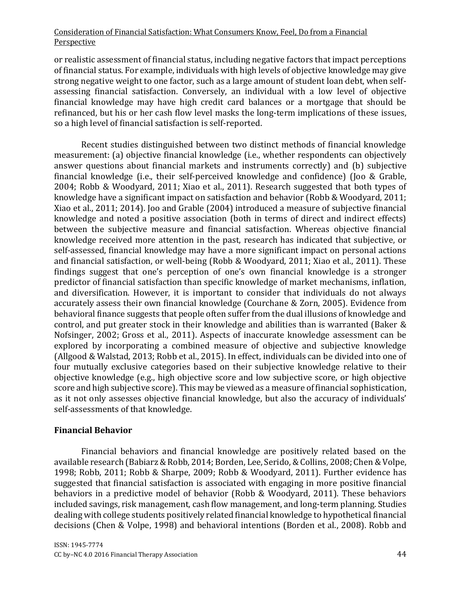or realistic assessment of financial status, including negative factors that impact perceptions of financial status. For example, individuals with high levels of objective knowledge may give strong negative weight to one factor, such as a large amount of student loan debt, when selfassessing financial satisfaction. Conversely, an individual with a low level of objective financial knowledge may have high credit card balances or a mortgage that should be refinanced, but his or her cash flow level masks the long-term implications of these issues, so a high level of financial satisfaction is self-reported.

Recent studies distinguished between two distinct methods of financial knowledge measurement: (a) objective financial knowledge (i.e., whether respondents can objectively answer questions about financial markets and instruments correctly) and (b) subjective financial knowledge (i.e., their self-perceived knowledge and confidence) (Joo & Grable, 2004; Robb & Woodyard, 2011; Xiao et al., 2011). Research suggested that both types of knowledge have a significant impact on satisfaction and behavior (Robb & Woodyard, 2011; Xiao et al., 2011; 2014). Joo and Grable (2004) introduced a measure of subjective financial knowledge and noted a positive association (both in terms of direct and indirect effects) between the subjective measure and financial satisfaction. Whereas objective financial knowledge received more attention in the past, research has indicated that subjective, or self-assessed, financial knowledge may have a more significant impact on personal actions and financial satisfaction, or well-being (Robb & Woodyard, 2011; Xiao et al., 2011). These findings suggest that one's perception of one's own financial knowledge is a stronger predictor of financial satisfaction than specific knowledge of market mechanisms, inflation, and diversification. However, it is important to consider that individuals do not always accurately assess their own financial knowledge (Courchane & Zorn, 2005). Evidence from behavioral finance suggests that people often suffer from the dual illusions of knowledge and control, and put greater stock in their knowledge and abilities than is warranted (Baker & Nofsinger, 2002; Gross et al., 2011). Aspects of inaccurate knowledge assessment can be explored by incorporating a combined measure of objective and subjective knowledge (Allgood & Walstad, 2013; Robb et al., 2015). In effect, individuals can be divided into one of four mutually exclusive categories based on their subjective knowledge relative to their objective knowledge (e.g., high objective score and low subjective score, or high objective score and high subjective score). This may be viewed as a measure of financial sophistication, as it not only assesses objective financial knowledge, but also the accuracy of individuals' self-assessments of that knowledge.

## **Financial Behavior**

Financial behaviors and financial knowledge are positively related based on the available research (Babiarz & Robb, 2014; Borden, Lee, Serido, & Collins, 2008; Chen & Volpe, 1998; Robb, 2011; Robb & Sharpe, 2009; Robb & Woodyard, 2011). Further evidence has suggested that financial satisfaction is associated with engaging in more positive financial behaviors in a predictive model of behavior (Robb & Woodyard, 2011). These behaviors included savings, risk management, cash flow management, and long-term planning. Studies dealing with college students positively related financial knowledge to hypothetical financial decisions (Chen & Volpe, 1998) and behavioral intentions (Borden et al., 2008). Robb and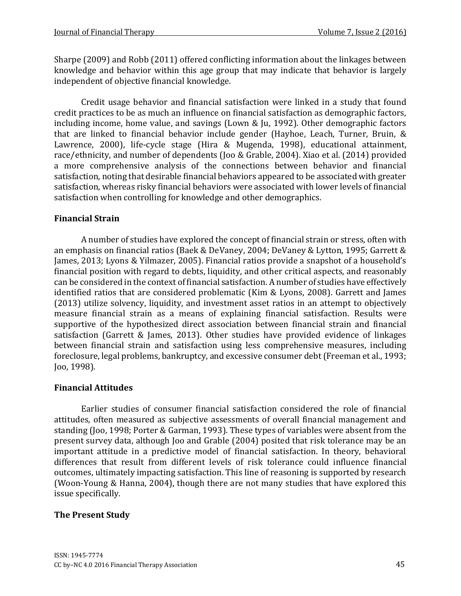Sharpe (2009) and Robb (2011) offered conflicting information about the linkages between knowledge and behavior within this age group that may indicate that behavior is largely independent of objective financial knowledge.

Credit usage behavior and financial satisfaction were linked in a study that found credit practices to be as much an influence on financial satisfaction as demographic factors, including income, home value, and savings (Lown & Ju, 1992). Other demographic factors that are linked to financial behavior include gender (Hayhoe, Leach, Turner, Bruin, & Lawrence, 2000), life-cycle stage (Hira & Mugenda, 1998), educational attainment, race/ethnicity, and number of dependents (Joo & Grable, 2004). Xiao et al. (2014) provided a more comprehensive analysis of the connections between behavior and financial satisfaction, noting that desirable financial behaviors appeared to be associated with greater satisfaction, whereas risky financial behaviors were associated with lower levels of financial satisfaction when controlling for knowledge and other demographics.

## **Financial Strain**

A number of studies have explored the concept of financial strain or stress, often with an emphasis on financial ratios (Baek & DeVaney, 2004; DeVaney & Lytton, 1995; Garrett & James, 2013; Lyons & Yilmazer, 2005). Financial ratios provide a snapshot of a household's financial position with regard to debts, liquidity, and other critical aspects, and reasonably can be considered in the context of financial satisfaction. A number of studies have effectively identified ratios that are considered problematic (Kim & Lyons, 2008). Garrett and James (2013) utilize solvency, liquidity, and investment asset ratios in an attempt to objectively measure financial strain as a means of explaining financial satisfaction. Results were supportive of the hypothesized direct association between financial strain and financial satisfaction (Garrett & James, 2013). Other studies have provided evidence of linkages between financial strain and satisfaction using less comprehensive measures, including foreclosure, legal problems, bankruptcy, and excessive consumer debt (Freeman et al., 1993; Joo, 1998).

## **Financial Attitudes**

Earlier studies of consumer financial satisfaction considered the role of financial attitudes, often measured as subjective assessments of overall financial management and standing (Joo, 1998; Porter & Garman, 1993). These types of variables were absent from the present survey data, although Joo and Grable (2004) posited that risk tolerance may be an important attitude in a predictive model of financial satisfaction. In theory, behavioral differences that result from different levels of risk tolerance could influence financial outcomes, ultimately impacting satisfaction. This line of reasoning is supported by research (Woon-Young & Hanna, 2004), though there are not many studies that have explored this issue specifically.

## **The Present Study**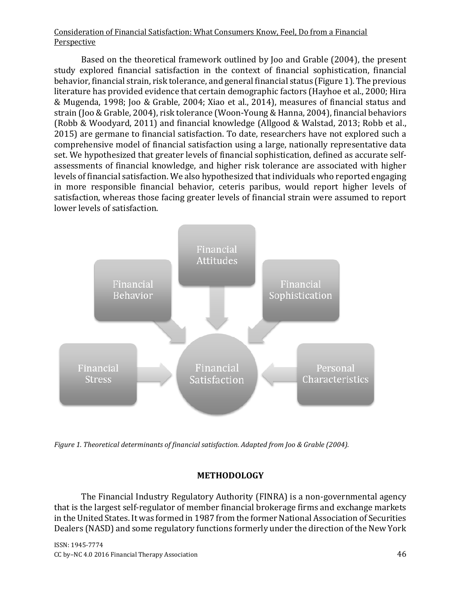Based on the theoretical framework outlined by Joo and Grable (2004), the present study explored financial satisfaction in the context of financial sophistication, financial behavior, financial strain, risk tolerance, and general financial status (Figure 1). The previous literature has provided evidence that certain demographic factors (Hayhoe et al., 2000; Hira & Mugenda, 1998; Joo & Grable, 2004; Xiao et al., 2014), measures of financial status and strain (Joo & Grable, 2004), risk tolerance (Woon-Young & Hanna, 2004), financial behaviors (Robb & Woodyard, 2011) and financial knowledge (Allgood & Walstad, 2013; Robb et al., 2015) are germane to financial satisfaction. To date, researchers have not explored such a comprehensive model of financial satisfaction using a large, nationally representative data set. We hypothesized that greater levels of financial sophistication, defined as accurate selfassessments of financial knowledge, and higher risk tolerance are associated with higher levels of financial satisfaction. We also hypothesized that individuals who reported engaging in more responsible financial behavior, ceteris paribus, would report higher levels of satisfaction, whereas those facing greater levels of financial strain were assumed to report lower levels of satisfaction.



*Figure 1. Theoretical determinants of financial satisfaction. Adapted from Joo & Grable (2004).*

## **METHODOLOGY**

The Financial Industry Regulatory Authority (FINRA) is a non-governmental agency that is the largest self-regulator of member financial brokerage firms and exchange markets in the United States. It was formed in 1987 from the former National Association of Securities Dealers (NASD) and some regulatory functions formerly under the direction of the New York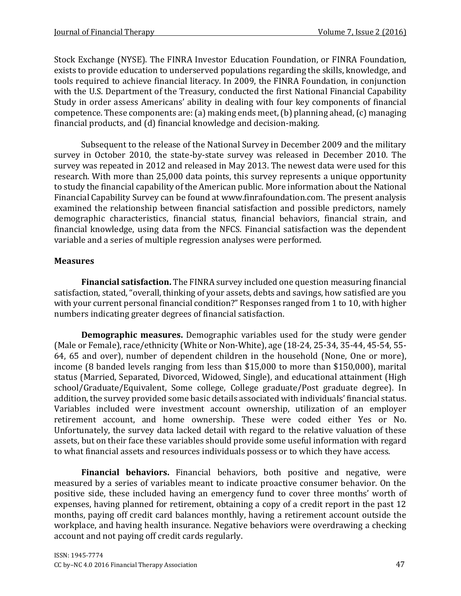Stock Exchange (NYSE). The FINRA Investor Education Foundation, or FINRA Foundation, exists to provide education to underserved populations regarding the skills, knowledge, and tools required to achieve financial literacy. In 2009, the FINRA Foundation, in conjunction with the U.S. Department of the Treasury, conducted the first National Financial Capability Study in order assess Americans' ability in dealing with four key components of financial competence. These components are:(a) making ends meet, (b) planning ahead, (c) managing financial products, and (d) financial knowledge and decision-making.

Subsequent to the release of the National Survey in December 2009 and the military survey in October 2010, the state-by-state survey was released in December 2010. The survey was repeated in 2012 and released in May 2013. The newest data were used for this research. With more than 25,000 data points, this survey represents a unique opportunity to study the financial capability of the American public. More information about the National Financial Capability Survey can be found at www.finrafoundation.com. The present analysis examined the relationship between financial satisfaction and possible predictors, namely demographic characteristics, financial status, financial behaviors, financial strain, and financial knowledge, using data from the NFCS. Financial satisfaction was the dependent variable and a series of multiple regression analyses were performed.

## **Measures**

**Financial satisfaction.** The FINRA survey included one question measuring financial satisfaction, stated, "overall, thinking of your assets, debts and savings, how satisfied are you with your current personal financial condition?" Responses ranged from 1 to 10, with higher numbers indicating greater degrees of financial satisfaction.

**Demographic measures.** Demographic variables used for the study were gender (Male or Female), race/ethnicity (White or Non-White), age (18-24, 25-34, 35-44, 45-54, 55- 64, 65 and over), number of dependent children in the household (None, One or more), income (8 banded levels ranging from less than \$15,000 to more than \$150,000), marital status (Married, Separated, Divorced, Widowed, Single), and educational attainment (High school/Graduate/Equivalent, Some college, College graduate/Post graduate degree). In addition, the survey provided some basic details associated with individuals' financial status. Variables included were investment account ownership, utilization of an employer retirement account, and home ownership. These were coded either Yes or No. Unfortunately, the survey data lacked detail with regard to the relative valuation of these assets, but on their face these variables should provide some useful information with regard to what financial assets and resources individuals possess or to which they have access.

**Financial behaviors.** Financial behaviors, both positive and negative, were measured by a series of variables meant to indicate proactive consumer behavior. On the positive side, these included having an emergency fund to cover three months' worth of expenses, having planned for retirement, obtaining a copy of a credit report in the past 12 months, paying off credit card balances monthly, having a retirement account outside the workplace, and having health insurance. Negative behaviors were overdrawing a checking account and not paying off credit cards regularly.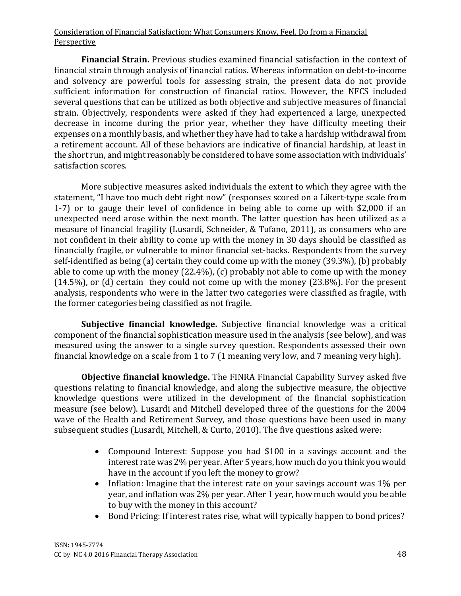**Financial Strain.** Previous studies examined financial satisfaction in the context of financial strain through analysis of financial ratios. Whereas information on debt-to-income and solvency are powerful tools for assessing strain, the present data do not provide sufficient information for construction of financial ratios. However, the NFCS included several questions that can be utilized as both objective and subjective measures of financial strain. Objectively, respondents were asked if they had experienced a large, unexpected decrease in income during the prior year, whether they have difficulty meeting their expenses on a monthly basis, and whether they have had to take a hardship withdrawal from a retirement account. All of these behaviors are indicative of financial hardship, at least in the short run, and might reasonably be considered to have some association with individuals' satisfaction scores.

More subjective measures asked individuals the extent to which they agree with the statement, "I have too much debt right now" (responses scored on a Likert-type scale from 1-7) or to gauge their level of confidence in being able to come up with \$2,000 if an unexpected need arose within the next month. The latter question has been utilized as a measure of financial fragility (Lusardi, Schneider, & Tufano, 2011), as consumers who are not confident in their ability to come up with the money in 30 days should be classified as financially fragile, or vulnerable to minor financial set-backs. Respondents from the survey self-identified as being (a) certain they could come up with the money (39.3%), (b) probably able to come up with the money (22.4%), (c) probably not able to come up with the money (14.5%), or (d) certain they could not come up with the money (23.8%). For the present analysis, respondents who were in the latter two categories were classified as fragile, with the former categories being classified as not fragile.

**Subjective financial knowledge.** Subjective financial knowledge was a critical component of the financial sophistication measure used in the analysis (see below), and was measured using the answer to a single survey question. Respondents assessed their own financial knowledge on a scale from 1 to 7 (1 meaning very low, and 7 meaning very high).

**Objective financial knowledge.** The FINRA Financial Capability Survey asked five questions relating to financial knowledge, and along the subjective measure, the objective knowledge questions were utilized in the development of the financial sophistication measure (see below). Lusardi and Mitchell developed three of the questions for the 2004 wave of the Health and Retirement Survey, and those questions have been used in many subsequent studies (Lusardi, Mitchell, & Curto, 2010). The five questions asked were:

- Compound Interest: Suppose you had \$100 in a savings account and the interest rate was 2% per year. After 5 years, how much do you think you would have in the account if you left the money to grow?
- Inflation: Imagine that the interest rate on your savings account was 1% per year, and inflation was 2% per year. After 1 year, how much would you be able to buy with the money in this account?
- Bond Pricing: If interest rates rise, what will typically happen to bond prices?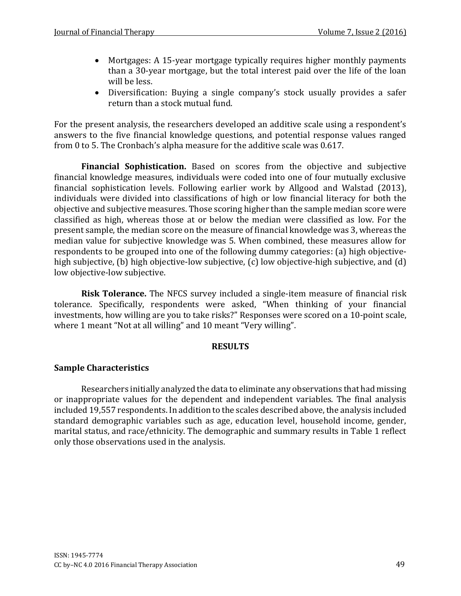- Mortgages: A 15-year mortgage typically requires higher monthly payments than a 30-year mortgage, but the total interest paid over the life of the loan will be less.
- Diversification: Buying a single company's stock usually provides a safer return than a stock mutual fund.

For the present analysis, the researchers developed an additive scale using a respondent's answers to the five financial knowledge questions, and potential response values ranged from 0 to 5. The Cronbach's alpha measure for the additive scale was 0.617.

**Financial Sophistication.** Based on scores from the objective and subjective financial knowledge measures, individuals were coded into one of four mutually exclusive financial sophistication levels. Following earlier work by Allgood and Walstad (2013), individuals were divided into classifications of high or low financial literacy for both the objective and subjective measures. Those scoring higher than the sample median score were classified as high, whereas those at or below the median were classified as low. For the present sample, the median score on the measure of financial knowledge was 3, whereas the median value for subjective knowledge was 5. When combined, these measures allow for respondents to be grouped into one of the following dummy categories: (a) high objectivehigh subjective, (b) high objective-low subjective, (c) low objective-high subjective, and (d) low objective-low subjective.

**Risk Tolerance.** The NFCS survey included a single-item measure of financial risk tolerance. Specifically, respondents were asked, "When thinking of your financial investments, how willing are you to take risks?" Responses were scored on a 10-point scale, where 1 meant "Not at all willing" and 10 meant "Very willing".

## **RESULTS**

## **Sample Characteristics**

Researchers initially analyzed the data to eliminate any observations that had missing or inappropriate values for the dependent and independent variables. The final analysis included 19,557 respondents. In addition to the scales described above, the analysis included standard demographic variables such as age, education level, household income, gender, marital status, and race/ethnicity. The demographic and summary results in Table 1 reflect only those observations used in the analysis.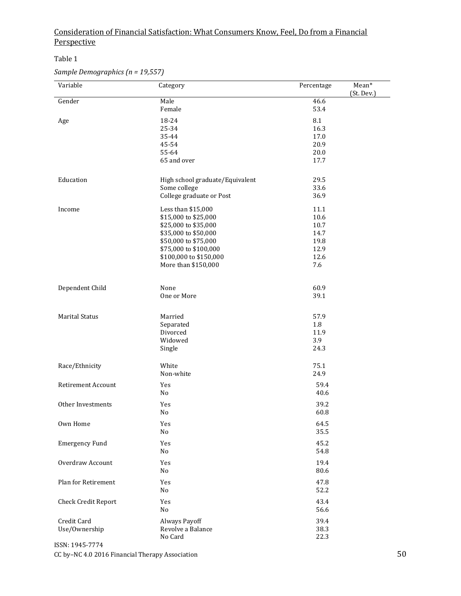#### Table 1

## *Sample Demographics (n = 19,557)*

| (St. Dev.)<br>Male<br>Gender<br>46.6<br>53.4<br>Female<br>8.1<br>18-24<br>Age<br>25-34<br>16.3<br>35-44<br>17.0<br>20.9<br>45-54<br>55-64<br>20.0<br>65 and over<br>17.7<br>Education<br>High school graduate/Equivalent<br>29.5<br>33.6<br>Some college<br>36.9<br>College graduate or Post |
|----------------------------------------------------------------------------------------------------------------------------------------------------------------------------------------------------------------------------------------------------------------------------------------------|
|                                                                                                                                                                                                                                                                                              |
|                                                                                                                                                                                                                                                                                              |
|                                                                                                                                                                                                                                                                                              |
|                                                                                                                                                                                                                                                                                              |
|                                                                                                                                                                                                                                                                                              |
|                                                                                                                                                                                                                                                                                              |
|                                                                                                                                                                                                                                                                                              |
|                                                                                                                                                                                                                                                                                              |
|                                                                                                                                                                                                                                                                                              |
|                                                                                                                                                                                                                                                                                              |
|                                                                                                                                                                                                                                                                                              |
| Income<br>Less than \$15,000<br>11.1                                                                                                                                                                                                                                                         |
| 10.6<br>\$15,000 to \$25,000                                                                                                                                                                                                                                                                 |
| \$25,000 to \$35,000<br>10.7                                                                                                                                                                                                                                                                 |
| \$35,000 to \$50,000<br>14.7                                                                                                                                                                                                                                                                 |
| \$50,000 to \$75,000<br>19.8                                                                                                                                                                                                                                                                 |
| 12.9<br>\$75,000 to \$100,000                                                                                                                                                                                                                                                                |
| \$100,000 to \$150,000<br>12.6                                                                                                                                                                                                                                                               |
| 7.6<br>More than \$150,000                                                                                                                                                                                                                                                                   |
| Dependent Child<br>None<br>60.9                                                                                                                                                                                                                                                              |
| One or More<br>39.1                                                                                                                                                                                                                                                                          |
|                                                                                                                                                                                                                                                                                              |
| <b>Marital Status</b><br>Married<br>57.9                                                                                                                                                                                                                                                     |
| Separated<br>1.8                                                                                                                                                                                                                                                                             |
| Divorced<br>11.9                                                                                                                                                                                                                                                                             |
| Widowed<br>3.9                                                                                                                                                                                                                                                                               |
| Single<br>24.3                                                                                                                                                                                                                                                                               |
| White<br>Race/Ethnicity<br>75.1                                                                                                                                                                                                                                                              |
| Non-white<br>24.9                                                                                                                                                                                                                                                                            |
| Retirement Account<br>59.4<br>Yes                                                                                                                                                                                                                                                            |
| 40.6<br>No                                                                                                                                                                                                                                                                                   |
| Other Investments<br>39.2<br>Yes                                                                                                                                                                                                                                                             |
| No<br>60.8                                                                                                                                                                                                                                                                                   |
| Own Home<br>64.5<br>Yes                                                                                                                                                                                                                                                                      |
| 35.5<br>No                                                                                                                                                                                                                                                                                   |
| 45.2<br><b>Emergency Fund</b><br>Yes<br>54.8<br>No                                                                                                                                                                                                                                           |
|                                                                                                                                                                                                                                                                                              |
| Overdraw Account<br>19.4<br>Yes<br>80.6<br>No                                                                                                                                                                                                                                                |
| Plan for Retirement<br>47.8<br>Yes                                                                                                                                                                                                                                                           |
| 52.2<br>No                                                                                                                                                                                                                                                                                   |
| 43.4<br><b>Check Credit Report</b><br>Yes                                                                                                                                                                                                                                                    |
| 56.6<br>No                                                                                                                                                                                                                                                                                   |
| Credit Card<br>39.4<br>Always Payoff                                                                                                                                                                                                                                                         |
| 38.3<br>Use/Ownership<br>Revolve a Balance                                                                                                                                                                                                                                                   |
| No Card<br>22.3                                                                                                                                                                                                                                                                              |

ISSN: 1945-7774 CC by–NC 4.0 2016 Financial Therapy Association 50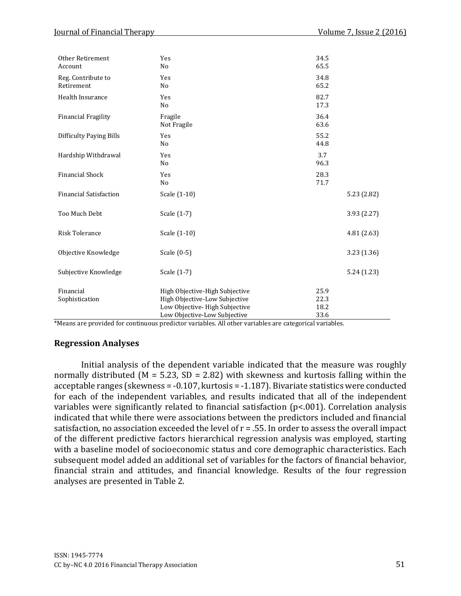| Other Retirement<br>Account      | Yes<br>No                                                                                                                        | 34.5<br>65.5                 |             |
|----------------------------------|----------------------------------------------------------------------------------------------------------------------------------|------------------------------|-------------|
| Reg. Contribute to<br>Retirement | Yes<br>No                                                                                                                        | 34.8<br>65.2                 |             |
| Health Insurance                 | Yes<br>N <sub>o</sub>                                                                                                            | 82.7<br>17.3                 |             |
| <b>Financial Fragility</b>       | Fragile<br>Not Fragile                                                                                                           | 36.4<br>63.6                 |             |
| <b>Difficulty Paying Bills</b>   | Yes<br>No                                                                                                                        | 55.2<br>44.8                 |             |
| Hardship Withdrawal              | Yes<br>No                                                                                                                        | 3.7<br>96.3                  |             |
| <b>Financial Shock</b>           | Yes<br>N <sub>o</sub>                                                                                                            | 28.3<br>71.7                 |             |
| <b>Financial Satisfaction</b>    | Scale (1-10)                                                                                                                     |                              | 5.23 (2.82) |
| Too Much Debt                    | Scale (1-7)                                                                                                                      |                              | 3.93(2.27)  |
| <b>Risk Tolerance</b>            | Scale (1-10)                                                                                                                     |                              | 4.81(2.63)  |
| Objective Knowledge              | Scale (0-5)                                                                                                                      |                              | 3.23(1.36)  |
| Subjective Knowledge             | Scale (1-7)                                                                                                                      |                              | 5.24(1.23)  |
| Financial<br>Sophistication      | High Objective-High Subjective<br>High Objective-Low Subjective<br>Low Objective-High Subjective<br>Low Objective-Low Subjective | 25.9<br>22.3<br>18.2<br>33.6 |             |

\*Means are provided for continuous predictor variables. All other variables are categorical variables.

## **Regression Analyses**

Initial analysis of the dependent variable indicated that the measure was roughly normally distributed ( $M = 5.23$ ,  $SD = 2.82$ ) with skewness and kurtosis falling within the acceptable ranges (skewness = -0.107, kurtosis = -1.187). Bivariate statistics were conducted for each of the independent variables, and results indicated that all of the independent variables were significantly related to financial satisfaction (p<.001). Correlation analysis indicated that while there were associations between the predictors included and financial satisfaction, no association exceeded the level of r = .55. In order to assess the overall impact of the different predictive factors hierarchical regression analysis was employed, starting with a baseline model of socioeconomic status and core demographic characteristics. Each subsequent model added an additional set of variables for the factors of financial behavior, financial strain and attitudes, and financial knowledge. Results of the four regression analyses are presented in Table 2.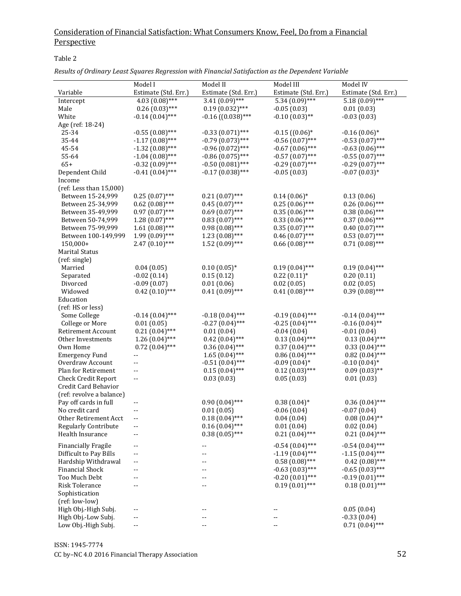Table 2

| Results of Ordinary Least Squares Regression with Financial Satisfaction as the Dependent Variable |
|----------------------------------------------------------------------------------------------------|
|----------------------------------------------------------------------------------------------------|

|                             | Model I              | Model II                          | Model III            | Model IV             |
|-----------------------------|----------------------|-----------------------------------|----------------------|----------------------|
| Variable                    | Estimate (Std. Err.) | Estimate (Std. Err.)              | Estimate (Std. Err.) | Estimate (Std. Err.) |
| Intercept                   | $4.03(0.08)$ ***     | $3.41(0.09)$ ***                  | $5.34(0.09)$ ***     | $5.18(0.09)$ ***     |
| Male                        | $0.26(0.03)$ ***     | $0.19(0.032)$ ***                 | $-0.05(0.03)$        | 0.01(0.03)           |
| White                       | $-0.14(0.04)$ ***    | $-0.16$ ((0.038)***               | $-0.10(0.03)$ **     | $-0.03(0.03)$        |
| Age (ref: 18-24)            |                      |                                   |                      |                      |
| 25-34                       | $-0.55(0.08)$ ***    | $-0.33(0.071)$ ***                | $-0.15$ ( $(0.06)*$  | $-0.16(0.06)*$       |
| 35-44                       | $-1.17(0.08)$ ***    | $-0.79(0.073)$ ***                | $-0.56(0.07)$ ***    | $-0.53(0.07)$ ***    |
| 45-54                       | $-1.32(0.08)$ ***    | $-0.96(0.072)$ ***                | $-0.67(0.06)$ ***    | $-0.63(0.06)$ ***    |
| 55-64                       | $-1.04(0.08)$ ***    | $-0.86(0.075)$ ***                | $-0.57(0.07)$ ***    | $-0.55(0.07)$ ***    |
| $65+$                       | $-0.32(0.09)$ ***    | $-0.50(0.081)$ ***                | $-0.29(0.07)$ ***    | $-0.29(0.07)$ ***    |
| Dependent Child             | $-0.41(0.04)$ ***    | $-0.17(0.038)$ ***                | $-0.05(0.03)$        | $-0.07(0.03)*$       |
| Income                      |                      |                                   |                      |                      |
| (ref: Less than 15,000)     |                      |                                   |                      |                      |
| Between 15-24,999           | $0.25(0.07)$ ***     | $0.21(0.07)$ ***                  | $0.14(0.06)*$        | 0.13(0.06)           |
| Between 25-34,999           | $0.62$ $(0.08)$ ***  | $0.45(0.07)$ ***                  | $0.25(0.06)$ ***     | $0.26(0.06)$ ***     |
| Between 35-49,999           | $0.97(0.07)$ ***     | $0.69(0.07)$ ***                  | $0.35(0.06)$ ***     | $0.38(0.06)$ ***     |
| Between 50-74,999           | $1.28(0.07)$ ***     | $0.83(0.07)$ ***                  | $0.33(0.06)$ ***     | $0.37(0.06)$ ***     |
| Between 75-99,999           | $1.61(0.08)$ ***     | $0.98(0.08)$ ***                  | $0.35(0.07)$ ***     | $0.40(0.07)$ ***     |
| Between 100-149,999         | $1.99(0.09)$ ***     | $1.23(0.08)$ ***                  | $0.46(0.07)$ ***     | $0.53(0.07)$ ***     |
| 150,000+                    | $2.47(0.10)$ ***     | $1.52(0.09)$ ***                  | $0.66(0.08)$ ***     | $0.71(0.08)$ ***     |
| <b>Marital Status</b>       |                      |                                   |                      |                      |
| (ref: single)               |                      |                                   |                      |                      |
| Married                     | 0.04(0.05)           | $0.10(0.05)*$                     | $0.19(0.04)$ ***     | $0.19(0.04)$ ***     |
| Separated                   | $-0.02(0.14)$        | 0.15(0.12)                        | $0.22(0.11)*$        | 0.20(0.11)           |
| Divorced                    | $-0.09(0.07)$        | 0.01(0.06)                        | 0.02(0.05)           | 0.02(0.05)           |
| Widowed                     | $0.42(0.10)$ ***     | $0.41(0.09)$ ***                  | $0.41(0.08)$ ***     | $0.39(0.08)$ ***     |
| Education                   |                      |                                   |                      |                      |
| (ref: HS or less)           |                      |                                   |                      |                      |
| Some College                | $-0.14(0.04)$ ***    | $-0.18(0.04)$ ***                 | $-0.19(0.04)$ ***    | $-0.14(0.04)$ ***    |
| College or More             | 0.01(0.05)           | $-0.27(0.04)$ ***                 | $-0.25(0.04)$ ***    | $-0.16(0.04)$ **     |
| Retirement Account          | $0.21(0.04)$ ***     | 0.01(0.04)                        | $-0.04(0.04)$        | $-0.01(0.04)$        |
| Other Investments           | $1.26(0.04)$ ***     | $0.42(0.04)$ ***                  | $0.13(0.04)$ ***     | $0.13(0.04)$ ***     |
| Own Home                    | $0.72(0.04)$ ***     | $0.36(0.04)$ ***                  | $0.37(0.04)$ ***     | $0.33(0.04)$ ***     |
| <b>Emergency Fund</b>       | --                   | $1.65(0.04)$ ***                  | $0.86(0.04)$ ***     | $0.82(0.04)$ ***     |
| Overdraw Account            | --                   | $-0.51(0.04)$ ***                 | $-0.09(0.04)$ *      | $-0.10(0.04)$ *      |
| Plan for Retirement         | --                   | $0.15(0.04)$ ***                  | $0.12(0.03)$ ***     | $0.09(0.03)$ **      |
| <b>Check Credit Report</b>  | --                   | 0.03(0.03)                        | 0.05(0.03)           | 0.01(0.03)           |
| Credit Card Behavior        |                      |                                   |                      |                      |
| (ref: revolve a balance)    |                      |                                   |                      |                      |
| Pay off cards in full       | ۰.                   | $0.90(0.04)$ ***                  | $0.38(0.04)$ *       | $0.36(0.04)$ ***     |
| No credit card              | --                   | 0.01(0.05)                        | $-0.06(0.04)$        | $-0.07(0.04)$        |
| Other Retirement Acct       | --                   | $0.18(0.04)$ ***                  | 0.04(0.04)           | $0.08(0.04)$ **      |
| <b>Regularly Contribute</b> | --                   | $0.16(0.04)$ ***                  | 0.01(0.04)           | 0.02(0.04)           |
| Health Insurance            | --                   | $0.38(0.05)$ ***                  | $0.21~(0.04)$ ***    | $0.21(0.04)$ ***     |
| <b>Financially Fragile</b>  |                      |                                   | $-0.54(0.04)$ ***    | $-0.54(0.04)$ ***    |
| Difficult to Pay Bills      | --<br>--             | $\overline{\phantom{a}}$ .<br>$-$ | $-1.19(0.04)$ ***    | $-1.15(0.04)$ ***    |
| Hardship Withdrawal         | --                   | --                                | $0.58(0.08)$ ***     | $0.42(0.08)$ ***     |
| <b>Financial Shock</b>      | --                   | $-$                               | $-0.63(0.03)$ ***    | $-0.65(0.03)$ ***    |
| Too Much Debt               | --                   | $-$                               | $-0.20(0.01)$ ***    | $-0.19(0.01)$ ***    |
| <b>Risk Tolerance</b>       | --                   |                                   | $0.19(0.01)$ ***     | $0.18(0.01)$ ***     |
| Sophistication              |                      |                                   |                      |                      |
| (ref: low-low)              |                      |                                   |                      |                      |
| High Obj.-High Subj.        | --                   | --                                | --                   | 0.05(0.04)           |
| High Obj.-Low Subj.         | --                   |                                   |                      | $-0.33(0.04)$        |
| Low Obj.-High Subj.         | --                   |                                   | --                   | $0.71(0.04)$ ***     |
|                             |                      |                                   |                      |                      |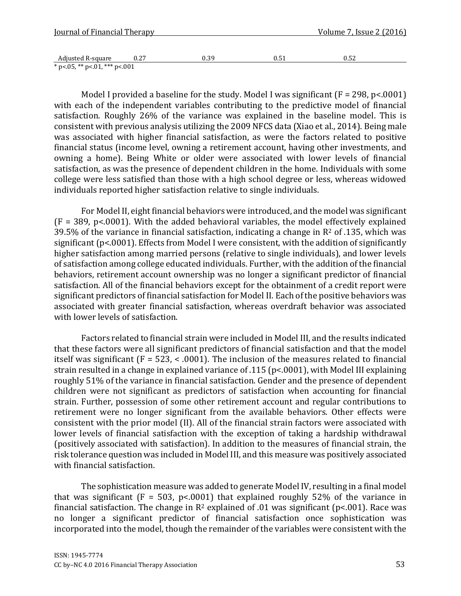| Journal of Financial Therapy     |      |      | <u>Volume 7, Issue 2 (2016)</u> |      |
|----------------------------------|------|------|---------------------------------|------|
|                                  |      |      |                                 |      |
| Adjusted R-square                | 0.27 | 0.39 | 0.51                            | 0.52 |
| * p < 05, ** p < 01, *** p < 001 |      |      |                                 |      |

Model I provided a baseline for the study. Model I was significant  $(F = 298, p < .0001)$ with each of the independent variables contributing to the predictive model of financial satisfaction. Roughly 26% of the variance was explained in the baseline model. This is consistent with previous analysis utilizing the 2009 NFCS data (Xiao et al., 2014). Being male was associated with higher financial satisfaction, as were the factors related to positive financial status (income level, owning a retirement account, having other investments, and owning a home). Being White or older were associated with lower levels of financial satisfaction, as was the presence of dependent children in the home. Individuals with some college were less satisfied than those with a high school degree or less, whereas widowed individuals reported higher satisfaction relative to single individuals.

For Model II, eight financial behaviors were introduced, and the model was significant  $(F = 389, p < .0001)$ . With the added behavioral variables, the model effectively explained 39.5% of the variance in financial satisfaction, indicating a change in  $\mathbb{R}^2$  of .135, which was significant (p<.0001). Effects from Model I were consistent, with the addition of significantly higher satisfaction among married persons (relative to single individuals), and lower levels of satisfaction among college educated individuals. Further, with the addition of the financial behaviors, retirement account ownership was no longer a significant predictor of financial satisfaction. All of the financial behaviors except for the obtainment of a credit report were significant predictors of financial satisfaction for Model II. Each of the positive behaviors was associated with greater financial satisfaction, whereas overdraft behavior was associated with lower levels of satisfaction.

Factors related to financial strain were included in Model III, and the results indicated that these factors were all significant predictors of financial satisfaction and that the model itself was significant ( $F = 523$ , < .0001). The inclusion of the measures related to financial strain resulted in a change in explained variance of .115 (p<.0001), with Model III explaining roughly 51% of the variance in financial satisfaction. Gender and the presence of dependent children were not significant as predictors of satisfaction when accounting for financial strain. Further, possession of some other retirement account and regular contributions to retirement were no longer significant from the available behaviors. Other effects were consistent with the prior model (II). All of the financial strain factors were associated with lower levels of financial satisfaction with the exception of taking a hardship withdrawal (positively associated with satisfaction). In addition to the measures of financial strain, the risk tolerance question was included in Model III, and this measure was positively associated with financial satisfaction.

The sophistication measure was added to generate Model IV, resulting in a final model that was significant ( $F = 503$ ,  $p < .0001$ ) that explained roughly 52% of the variance in financial satisfaction. The change in  $R^2$  explained of .01 was significant (p<.001). Race was no longer a significant predictor of financial satisfaction once sophistication was incorporated into the model, though the remainder of the variables were consistent with the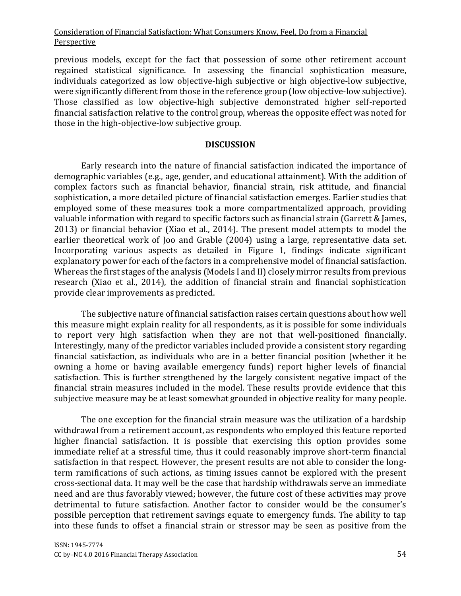previous models, except for the fact that possession of some other retirement account regained statistical significance. In assessing the financial sophistication measure, individuals categorized as low objective-high subjective or high objective-low subjective, were significantly different from those in the reference group (low objective-low subjective). Those classified as low objective-high subjective demonstrated higher self-reported financial satisfaction relative to the control group, whereas the opposite effect was noted for those in the high-objective-low subjective group.

### **DISCUSSION**

Early research into the nature of financial satisfaction indicated the importance of demographic variables (e.g., age, gender, and educational attainment). With the addition of complex factors such as financial behavior, financial strain, risk attitude, and financial sophistication, a more detailed picture of financial satisfaction emerges. Earlier studies that employed some of these measures took a more compartmentalized approach, providing valuable information with regard to specific factors such as financial strain (Garrett & James, 2013) or financial behavior (Xiao et al., 2014). The present model attempts to model the earlier theoretical work of Joo and Grable (2004) using a large, representative data set. Incorporating various aspects as detailed in Figure 1, findings indicate significant explanatory power for each of the factors in a comprehensive model of financial satisfaction. Whereas the first stages of the analysis (Models I and II) closely mirror results from previous research (Xiao et al., 2014), the addition of financial strain and financial sophistication provide clear improvements as predicted.

The subjective nature of financial satisfaction raises certain questions about how well this measure might explain reality for all respondents, as it is possible for some individuals to report very high satisfaction when they are not that well-positioned financially. Interestingly, many of the predictor variables included provide a consistent story regarding financial satisfaction, as individuals who are in a better financial position (whether it be owning a home or having available emergency funds) report higher levels of financial satisfaction. This is further strengthened by the largely consistent negative impact of the financial strain measures included in the model. These results provide evidence that this subjective measure may be at least somewhat grounded in objective reality for many people.

The one exception for the financial strain measure was the utilization of a hardship withdrawal from a retirement account, as respondents who employed this feature reported higher financial satisfaction. It is possible that exercising this option provides some immediate relief at a stressful time, thus it could reasonably improve short-term financial satisfaction in that respect. However, the present results are not able to consider the longterm ramifications of such actions, as timing issues cannot be explored with the present cross-sectional data. It may well be the case that hardship withdrawals serve an immediate need and are thus favorably viewed; however, the future cost of these activities may prove detrimental to future satisfaction. Another factor to consider would be the consumer's possible perception that retirement savings equate to emergency funds. The ability to tap into these funds to offset a financial strain or stressor may be seen as positive from the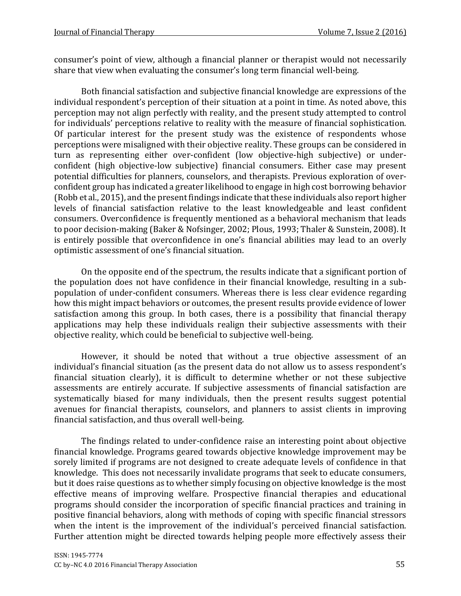consumer's point of view, although a financial planner or therapist would not necessarily share that view when evaluating the consumer's long term financial well-being.

Both financial satisfaction and subjective financial knowledge are expressions of the individual respondent's perception of their situation at a point in time. As noted above, this perception may not align perfectly with reality, and the present study attempted to control for individuals' perceptions relative to reality with the measure of financial sophistication. Of particular interest for the present study was the existence of respondents whose perceptions were misaligned with their objective reality. These groups can be considered in turn as representing either over-confident (low objective-high subjective) or underconfident (high objective-low subjective) financial consumers. Either case may present potential difficulties for planners, counselors, and therapists. Previous exploration of overconfident group has indicated a greater likelihood to engage in high cost borrowing behavior (Robb et al., 2015), and the present findings indicate that these individuals also report higher levels of financial satisfaction relative to the least knowledgeable and least confident consumers. Overconfidence is frequently mentioned as a behavioral mechanism that leads to poor decision-making (Baker & Nofsinger, 2002; Plous, 1993; Thaler & Sunstein, 2008). It is entirely possible that overconfidence in one's financial abilities may lead to an overly optimistic assessment of one's financial situation.

On the opposite end of the spectrum, the results indicate that a significant portion of the population does not have confidence in their financial knowledge, resulting in a subpopulation of under-confident consumers. Whereas there is less clear evidence regarding how this might impact behaviors or outcomes, the present results provide evidence of lower satisfaction among this group. In both cases, there is a possibility that financial therapy applications may help these individuals realign their subjective assessments with their objective reality, which could be beneficial to subjective well-being.

However, it should be noted that without a true objective assessment of an individual's financial situation (as the present data do not allow us to assess respondent's financial situation clearly), it is difficult to determine whether or not these subjective assessments are entirely accurate. If subjective assessments of financial satisfaction are systematically biased for many individuals, then the present results suggest potential avenues for financial therapists, counselors, and planners to assist clients in improving financial satisfaction, and thus overall well-being.

The findings related to under-confidence raise an interesting point about objective financial knowledge. Programs geared towards objective knowledge improvement may be sorely limited if programs are not designed to create adequate levels of confidence in that knowledge. This does not necessarily invalidate programs that seek to educate consumers, but it does raise questions as to whether simply focusing on objective knowledge is the most effective means of improving welfare. Prospective financial therapies and educational programs should consider the incorporation of specific financial practices and training in positive financial behaviors, along with methods of coping with specific financial stressors when the intent is the improvement of the individual's perceived financial satisfaction. Further attention might be directed towards helping people more effectively assess their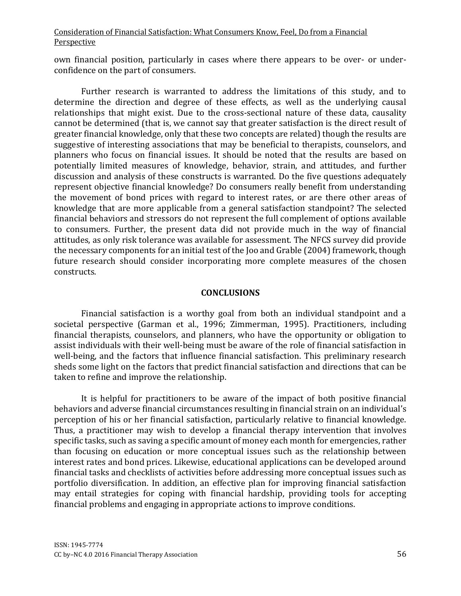own financial position, particularly in cases where there appears to be over- or underconfidence on the part of consumers.

Further research is warranted to address the limitations of this study, and to determine the direction and degree of these effects, as well as the underlying causal relationships that might exist. Due to the cross-sectional nature of these data, causality cannot be determined (that is, we cannot say that greater satisfaction is the direct result of greater financial knowledge, only that these two concepts are related) though the results are suggestive of interesting associations that may be beneficial to therapists, counselors, and planners who focus on financial issues. It should be noted that the results are based on potentially limited measures of knowledge, behavior, strain, and attitudes, and further discussion and analysis of these constructs is warranted. Do the five questions adequately represent objective financial knowledge? Do consumers really benefit from understanding the movement of bond prices with regard to interest rates, or are there other areas of knowledge that are more applicable from a general satisfaction standpoint? The selected financial behaviors and stressors do not represent the full complement of options available to consumers. Further, the present data did not provide much in the way of financial attitudes, as only risk tolerance was available for assessment. The NFCS survey did provide the necessary components for an initial test of the Joo and Grable (2004) framework, though future research should consider incorporating more complete measures of the chosen constructs.

### **CONCLUSIONS**

Financial satisfaction is a worthy goal from both an individual standpoint and a societal perspective (Garman et al., 1996; Zimmerman, 1995). Practitioners, including financial therapists, counselors, and planners, who have the opportunity or obligation to assist individuals with their well-being must be aware of the role of financial satisfaction in well-being, and the factors that influence financial satisfaction. This preliminary research sheds some light on the factors that predict financial satisfaction and directions that can be taken to refine and improve the relationship.

It is helpful for practitioners to be aware of the impact of both positive financial behaviors and adverse financial circumstances resulting in financial strain on an individual's perception of his or her financial satisfaction, particularly relative to financial knowledge. Thus, a practitioner may wish to develop a financial therapy intervention that involves specific tasks, such as saving a specific amount of money each month for emergencies, rather than focusing on education or more conceptual issues such as the relationship between interest rates and bond prices. Likewise, educational applications can be developed around financial tasks and checklists of activities before addressing more conceptual issues such as portfolio diversification. In addition, an effective plan for improving financial satisfaction may entail strategies for coping with financial hardship, providing tools for accepting financial problems and engaging in appropriate actions to improve conditions.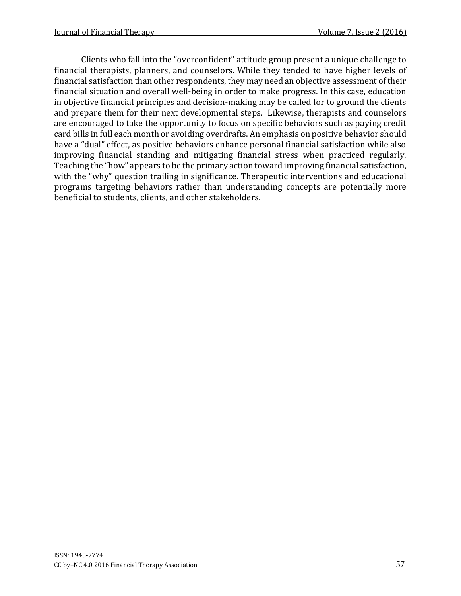Clients who fall into the "overconfident" attitude group present a unique challenge to financial therapists, planners, and counselors. While they tended to have higher levels of financial satisfaction than other respondents, they may need an objective assessment of their financial situation and overall well-being in order to make progress. In this case, education in objective financial principles and decision-making may be called for to ground the clients and prepare them for their next developmental steps. Likewise, therapists and counselors are encouraged to take the opportunity to focus on specific behaviors such as paying credit card bills in full each month or avoiding overdrafts. An emphasis on positive behavior should have a "dual" effect, as positive behaviors enhance personal financial satisfaction while also improving financial standing and mitigating financial stress when practiced regularly. Teaching the "how" appears to be the primary action toward improving financial satisfaction, with the "why" question trailing in significance. Therapeutic interventions and educational programs targeting behaviors rather than understanding concepts are potentially more beneficial to students, clients, and other stakeholders.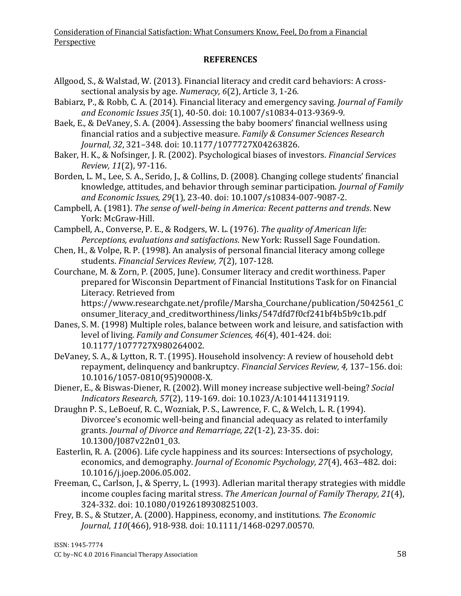## **REFERENCES**

- Allgood, S., & Walstad, W. (2013). Financial literacy and credit card behaviors: A crosssectional analysis by age. *Numeracy, 6*(2), Article 3, 1-26.
- Babiarz, P., & Robb, C. A. (2014). Financial literacy and emergency saving. *Journal of Family and Economic Issues 35*(1), 40-50. doi: 10.1007/s10834-013-9369-9.

Baek, E., & DeVaney, S. A. (2004). Assessing the baby boomers' financial wellness using financial ratios and a subjective measure. *Family & Consumer Sciences Research Journal*, *32*, 321–348. doi: 10.1177/1077727X04263826.

Baker, H. K., & Nofsinger, J. R. (2002). Psychological biases of investors. *Financial Services Review, 11*(2), 97-116.

Borden, L. M., Lee, S. A., Serido, J., & Collins, D. (2008). Changing college students' financial knowledge, attitudes, and behavior through seminar participation. *Journal of Family and Economic Issues, 29*(1), 23-40. doi: 10.1007/s10834-007-9087-2.

Campbell, A. (1981). *The sense of well-being in America: Recent patterns and trends*. New York: McGraw-Hill.

Campbell, A., Converse, P. E., & Rodgers, W. L. (1976). *The quality of American life: Perceptions, evaluations and satisfactions*. New York: Russell Sage Foundation.

- Chen, H., & Volpe, R. P. (1998). An analysis of personal financial literacy among college students. *Financial Services Review, 7*(2), 107-128.
- Courchane, M. & Zorn, P. (2005, June). Consumer literacy and credit worthiness. Paper prepared for Wisconsin Department of Financial Institutions Task for on Financial Literacy. Retrieved from

https://www.researchgate.net/profile/Marsha\_Courchane/publication/5042561\_C onsumer\_literacy\_and\_creditworthiness/links/547dfd7f0cf241bf4b5b9c1b.pdf

- Danes, S. M. (1998) Multiple roles, balance between work and leisure, and satisfaction with level of living. *Family and Consumer Sciences, 46*(4), 401-424. doi: 10.1177/1077727X980264002.
- DeVaney, S. A., & Lytton, R. T. (1995). Household insolvency: A review of household debt repayment, delinquency and bankruptcy. *Financial Services Review, 4,* 137–156. doi: 10.1016/1057-0810(95)90008-X.
- Diener, E., & Biswas-Diener, R. (2002). Will money increase subjective well-being? *Social Indicators Research, 57*(2), 119-169. doi: 10.1023/A:1014411319119.
- Draughn P. S., LeBoeuf, R. C., Wozniak, P. S., Lawrence, F. C., & Welch, L. R. (1994). Divorcee's economic well-being and financial adequacy as related to interfamily grants. *Journal of Divorce and Remarriage, 22*(1-2), 23-35. doi: 10.1300/J087v22n01\_03.
- Easterlin, R. A. (2006). Life cycle happiness and its sources: Intersections of psychology, economics, and demography. *Journal of Economic Psychology, 27*(4), 463–482. doi: 10.1016/j.joep.2006.05.002.
- Freeman, C., Carlson, J., & Sperry, L. (1993). Adlerian marital therapy strategies with middle income couples facing marital stress. *The American Journal of Family Therapy, 21*(4), 324-332. doi: 10.1080/01926189308251003.
- Frey, B. S., & Stutzer, A. (2000). Happiness, economy, and institutions. *The Economic Journal*, *110*(466), 918-938. doi: 10.1111/1468-0297.00570.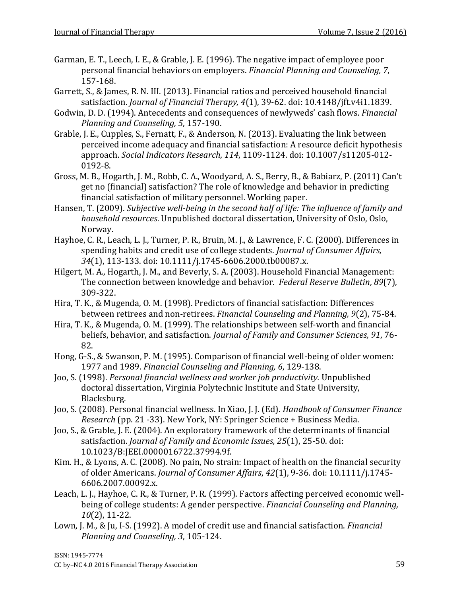- Garman, E. T., Leech, I. E., & Grable, J. E. (1996). The negative impact of employee poor personal financial behaviors on employers. *Financial Planning and Counseling, 7*, 157-168.
- Garrett, S., & James, R. N. III. (2013). Financial ratios and perceived household financial satisfaction. *Journal of Financial Therapy, 4*(1), 39-62. doi: 10.4148/jft.v4i1.1839.
- Godwin, D. D. (1994). Antecedents and consequences of newlyweds' cash flows. *Financial Planning and Counseling, 5*, 157-190.
- Grable, J. E., Cupples, S., Fernatt, F., & Anderson, N. (2013). Evaluating the link between perceived income adequacy and financial satisfaction: A resource deficit hypothesis approach. *Social Indicators Research*, *114*, 1109-1124. doi: 10.1007/s11205-012- 0192-8.
- Gross, M. B., Hogarth, J. M., Robb, C. A., Woodyard, A. S., Berry, B., & Babiarz, P. (2011) Can't get no (financial) satisfaction? The role of knowledge and behavior in predicting financial satisfaction of military personnel. Working paper.
- Hansen, T. (2009). *Subjective well-being in the second half of life: The influence of family and household resources*. Unpublished doctoral dissertation, University of Oslo, Oslo, Norway.
- Hayhoe, C. R., Leach, L. J., Turner, P. R., Bruin, M. J., & Lawrence, F. C. (2000). Differences in spending habits and credit use of college students. *Journal of Consumer Affairs, 34*(1), 113-133. doi: 10.1111/j.1745-6606.2000.tb00087.x.
- Hilgert, M. A., Hogarth, J. M., and Beverly, S. A. (2003). Household Financial Management: The connection between knowledge and behavior. *Federal Reserve Bulletin*, *89*(7), 309-322.
- Hira, T. K., & Mugenda, O. M. (1998). Predictors of financial satisfaction: Differences between retirees and non-retirees. *Financial Counseling and Planning, 9*(2), 75-84.
- Hira, T. K., & Mugenda, O. M. (1999). The relationships between self-worth and financial beliefs, behavior, and satisfaction. *Journal of Family and Consumer Sciences, 91*, 76- 82.
- Hong, G-S., & Swanson, P. M. (1995). Comparison of financial well-being of older women: 1977 and 1989. *Financial Counseling and Planning, 6*, 129-138.
- Joo, S. (1998). *Personal financial wellness and worker job productivity.* Unpublished doctoral dissertation, Virginia Polytechnic Institute and State University, Blacksburg.
- Joo, S. (2008). Personal financial wellness. In Xiao, J. J. (Ed). *Handbook of Consumer Finance Research* (pp. 21 -33). New York, NY: Springer Science + Business Media.
- Joo, S., & Grable, J. E. (2004). An exploratory framework of the determinants of financial satisfaction. *Journal of Family and Economic Issues, 25*(1), 25-50. doi: 10.1023/B:JEEI.0000016722.37994.9f.
- Kim. H., & Lyons, A. C. (2008). No pain, No strain: Impact of health on the financial security of older Americans. *Journal of Consumer Affairs*, *42*(1), 9-36. doi: 10.1111/j.1745- 6606.2007.00092.x.
- Leach, L. J., Hayhoe, C. R., & Turner, P. R. (1999). Factors affecting perceived economic wellbeing of college students: A gender perspective. *Financial Counseling and Planning, 10*(2), 11-22.
- Lown, J. M., & Ju, I-S. (1992). A model of credit use and financial satisfaction. *Financial Planning and Counseling, 3*, 105-124.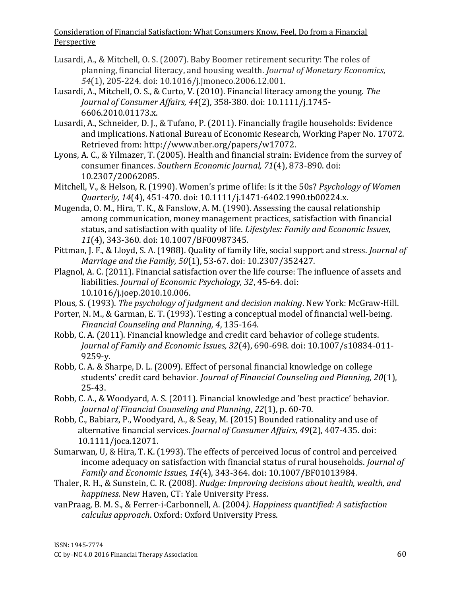- Lusardi, A., & Mitchell, O. S. (2007). Baby Boomer retirement security: The roles of planning, financial literacy, and housing wealth. *Journal of Monetary Economics, 54*(1), 205-224. doi: 10.1016/j.jmoneco.2006.12.001.
- Lusardi, A., Mitchell, O. S., & Curto, V. (2010). Financial literacy among the young. *The Journal of Consumer Affairs, 44*(2), 358-380. doi: 10.1111/j.1745- 6606.2010.01173.x.
- Lusardi, A., Schneider, D. J., & Tufano, P. (2011). Financially fragile households: Evidence and implications. National Bureau of Economic Research, Working Paper No. 17072. Retrieved from: http://www.nber.org/papers/w17072.
- Lyons, A. C., & Yilmazer, T. (2005). Health and financial strain: Evidence from the survey of consumer finances. *Southern Economic Journal, 71*(4), 873-890. doi: 10.2307/20062085.
- Mitchell, V., & Helson, R. (1990). Women's prime of life: Is it the 50s? *Psychology of Women Quarterly, 14*(4), 451-470. doi: 10.1111/j.1471-6402.1990.tb00224.x.
- Mugenda, O. M., Hira, T. K., & Fanslow, A. M. (1990). Assessing the causal relationship among communication, money management practices, satisfaction with financial status, and satisfaction with quality of life. *Lifestyles: Family and Economic Issues, 11*(4), 343-360. doi: 10.1007/BF00987345.
- Pittman, J. F., & Lloyd, S. A. (1988). Quality of family life, social support and stress. *Journal of Marriage and the Family, 50*(1), 53-67. doi: 10.2307/352427.
- Plagnol, A. C. (2011). Financial satisfaction over the life course: The influence of assets and liabilities. *Journal of Economic Psychology, 32*, 45-64. doi: 10.1016/j.joep.2010.10.006.
- Plous, S. (1993). *The psychology of judgment and decision making*. New York: McGraw-Hill.
- Porter, N. M., & Garman, E. T. (1993). Testing a conceptual model of financial well-being. *Financial Counseling and Planning, 4*, 135-164.
- Robb, C. A. (2011). Financial knowledge and credit card behavior of college students. *Journal of Family and Economic Issues, 32*(4), 690-698. doi: 10.1007/s10834-011- 9259-y.
- Robb, C. A. & Sharpe, D. L. (2009). Effect of personal financial knowledge on college students' credit card behavior. *Journal of Financial Counseling and Planning, 20*(1), 25-43.
- Robb, C. A., & Woodyard, A. S. (2011). Financial knowledge and 'best practice' behavior. *Journal of Financial Counseling and Planning*, *22*(1), p. 60-70.
- Robb, C., Babiarz, P., Woodyard, A., & Seay, M. (2015) Bounded rationality and use of alternative financial services. *Journal of Consumer Affairs, 49*(2), 407-435. doi: 10.1111/joca.12071.
- Sumarwan, U, & Hira, T. K. (1993). The effects of perceived locus of control and perceived income adequacy on satisfaction with financial status of rural households. *Journal of Family and Economic Issues, 14*(4), 343-364. doi: 10.1007/BF01013984.
- Thaler, R. H., & Sunstein, C. R. (2008). *Nudge: Improving decisions about health, wealth, and happiness*. New Haven, CT: Yale University Press.
- vanPraag, B. M. S., & Ferrer-i-Carbonnell, A. (2004*). Happiness quantified: A satisfaction calculus approach*. Oxford: Oxford University Press.